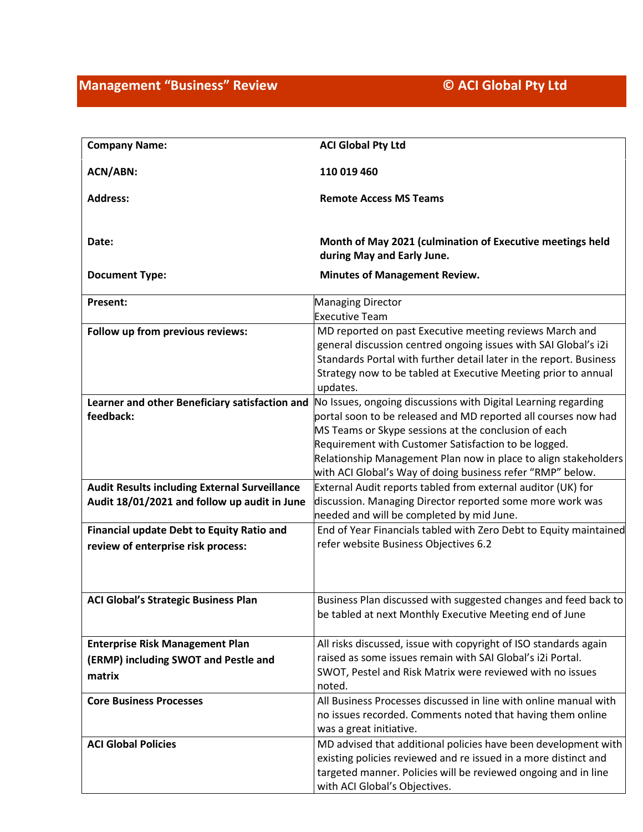| <b>Company Name:</b>                                        | <b>ACI Global Pty Ltd</b>                                                                                                                                                                                                                                                                                                                                                         |
|-------------------------------------------------------------|-----------------------------------------------------------------------------------------------------------------------------------------------------------------------------------------------------------------------------------------------------------------------------------------------------------------------------------------------------------------------------------|
| <b>ACN/ABN:</b>                                             | 110 019 460                                                                                                                                                                                                                                                                                                                                                                       |
| <b>Address:</b>                                             | <b>Remote Access MS Teams</b>                                                                                                                                                                                                                                                                                                                                                     |
| Date:                                                       | Month of May 2021 (culmination of Executive meetings held<br>during May and Early June.                                                                                                                                                                                                                                                                                           |
| <b>Document Type:</b>                                       | <b>Minutes of Management Review.</b>                                                                                                                                                                                                                                                                                                                                              |
| Present:                                                    | <b>Managing Director</b><br><b>Executive Team</b>                                                                                                                                                                                                                                                                                                                                 |
| Follow up from previous reviews:                            | MD reported on past Executive meeting reviews March and<br>general discussion centred ongoing issues with SAI Global's i2i<br>Standards Portal with further detail later in the report. Business<br>Strategy now to be tabled at Executive Meeting prior to annual<br>updates.                                                                                                    |
| Learner and other Beneficiary satisfaction and<br>feedback: | No Issues, ongoing discussions with Digital Learning regarding<br>portal soon to be released and MD reported all courses now had<br>MS Teams or Skype sessions at the conclusion of each<br>Requirement with Customer Satisfaction to be logged.<br>Relationship Management Plan now in place to align stakeholders<br>with ACI Global's Way of doing business refer "RMP" below. |
| <b>Audit Results including External Surveillance</b>        | External Audit reports tabled from external auditor (UK) for                                                                                                                                                                                                                                                                                                                      |
| Audit 18/01/2021 and follow up audit in June                | discussion. Managing Director reported some more work was<br>needed and will be completed by mid June.                                                                                                                                                                                                                                                                            |
| Financial update Debt to Equity Ratio and                   | End of Year Financials tabled with Zero Debt to Equity maintained                                                                                                                                                                                                                                                                                                                 |
| review of enterprise risk process:                          | refer website Business Objectives 6.2                                                                                                                                                                                                                                                                                                                                             |
|                                                             |                                                                                                                                                                                                                                                                                                                                                                                   |
| <b>ACI Global's Strategic Business Plan</b>                 | Business Plan discussed with suggested changes and feed back to<br>be tabled at next Monthly Executive Meeting end of June                                                                                                                                                                                                                                                        |
| <b>Enterprise Risk Management Plan</b>                      | All risks discussed, issue with copyright of ISO standards again                                                                                                                                                                                                                                                                                                                  |
| (ERMP) including SWOT and Pestle and                        | raised as some issues remain with SAI Global's i2i Portal.<br>SWOT, Pestel and Risk Matrix were reviewed with no issues                                                                                                                                                                                                                                                           |
| matrix                                                      | noted.                                                                                                                                                                                                                                                                                                                                                                            |
| <b>Core Business Processes</b>                              | All Business Processes discussed in line with online manual with<br>no issues recorded. Comments noted that having them online<br>was a great initiative.                                                                                                                                                                                                                         |
| <b>ACI Global Policies</b>                                  | MD advised that additional policies have been development with<br>existing policies reviewed and re issued in a more distinct and<br>targeted manner. Policies will be reviewed ongoing and in line<br>with ACI Global's Objectives.                                                                                                                                              |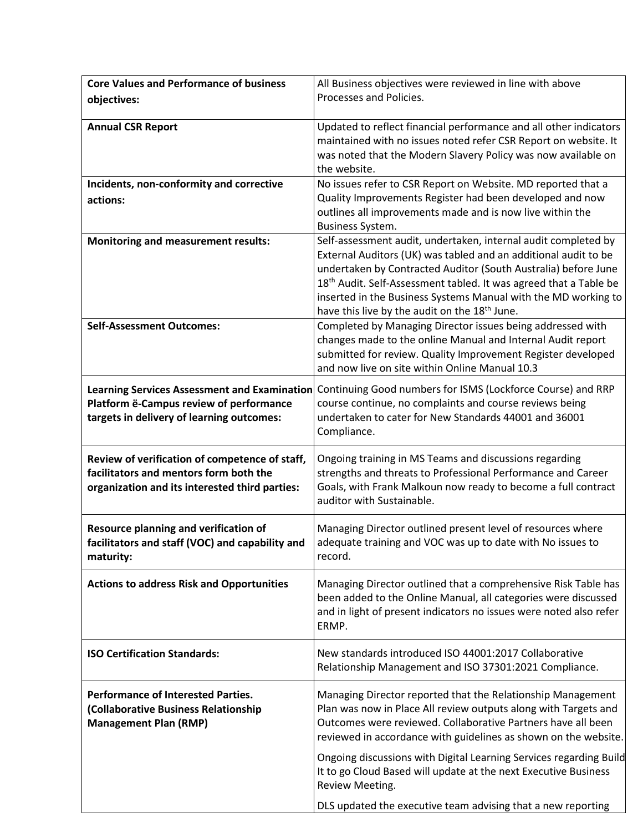| <b>Core Values and Performance of business</b>                                           | All Business objectives were reviewed in line with above                                                                             |
|------------------------------------------------------------------------------------------|--------------------------------------------------------------------------------------------------------------------------------------|
| objectives:                                                                              | Processes and Policies.                                                                                                              |
|                                                                                          |                                                                                                                                      |
| <b>Annual CSR Report</b>                                                                 | Updated to reflect financial performance and all other indicators<br>maintained with no issues noted refer CSR Report on website. It |
|                                                                                          | was noted that the Modern Slavery Policy was now available on                                                                        |
|                                                                                          | the website.                                                                                                                         |
| Incidents, non-conformity and corrective                                                 | No issues refer to CSR Report on Website. MD reported that a                                                                         |
| actions:                                                                                 | Quality Improvements Register had been developed and now                                                                             |
|                                                                                          | outlines all improvements made and is now live within the                                                                            |
|                                                                                          | Business System.                                                                                                                     |
| <b>Monitoring and measurement results:</b>                                               | Self-assessment audit, undertaken, internal audit completed by<br>External Auditors (UK) was tabled and an additional audit to be    |
|                                                                                          | undertaken by Contracted Auditor (South Australia) before June                                                                       |
|                                                                                          | 18 <sup>th</sup> Audit. Self-Assessment tabled. It was agreed that a Table be                                                        |
|                                                                                          | inserted in the Business Systems Manual with the MD working to                                                                       |
|                                                                                          | have this live by the audit on the 18 <sup>th</sup> June.                                                                            |
| <b>Self-Assessment Outcomes:</b>                                                         | Completed by Managing Director issues being addressed with<br>changes made to the online Manual and Internal Audit report            |
|                                                                                          | submitted for review. Quality Improvement Register developed                                                                         |
|                                                                                          | and now live on site within Online Manual 10.3                                                                                       |
|                                                                                          | Learning Services Assessment and Examination Continuing Good numbers for ISMS (Lockforce Course) and RRP                             |
| Platform ë-Campus review of performance                                                  | course continue, no complaints and course reviews being                                                                              |
| targets in delivery of learning outcomes:                                                | undertaken to cater for New Standards 44001 and 36001                                                                                |
|                                                                                          | Compliance.                                                                                                                          |
|                                                                                          | Ongoing training in MS Teams and discussions regarding                                                                               |
| Review of verification of competence of staff,<br>facilitators and mentors form both the | strengths and threats to Professional Performance and Career                                                                         |
| organization and its interested third parties:                                           | Goals, with Frank Malkoun now ready to become a full contract                                                                        |
|                                                                                          | auditor with Sustainable.                                                                                                            |
|                                                                                          |                                                                                                                                      |
| Resource planning and verification of<br>facilitators and staff (VOC) and capability and | Managing Director outlined present level of resources where<br>adequate training and VOC was up to date with No issues to            |
| maturity:                                                                                | record.                                                                                                                              |
|                                                                                          |                                                                                                                                      |
| <b>Actions to address Risk and Opportunities</b>                                         | Managing Director outlined that a comprehensive Risk Table has                                                                       |
|                                                                                          | been added to the Online Manual, all categories were discussed                                                                       |
|                                                                                          | and in light of present indicators no issues were noted also refer<br>ERMP.                                                          |
|                                                                                          |                                                                                                                                      |
| <b>ISO Certification Standards:</b>                                                      | New standards introduced ISO 44001:2017 Collaborative                                                                                |
|                                                                                          | Relationship Management and ISO 37301:2021 Compliance.                                                                               |
| <b>Performance of Interested Parties.</b>                                                | Managing Director reported that the Relationship Management                                                                          |
| (Collaborative Business Relationship                                                     | Plan was now in Place All review outputs along with Targets and                                                                      |
| <b>Management Plan (RMP)</b>                                                             | Outcomes were reviewed. Collaborative Partners have all been                                                                         |
|                                                                                          | reviewed in accordance with guidelines as shown on the website.                                                                      |
|                                                                                          | Ongoing discussions with Digital Learning Services regarding Build                                                                   |
|                                                                                          | It to go Cloud Based will update at the next Executive Business                                                                      |
|                                                                                          | Review Meeting.                                                                                                                      |
|                                                                                          | DLS updated the executive team advising that a new reporting                                                                         |